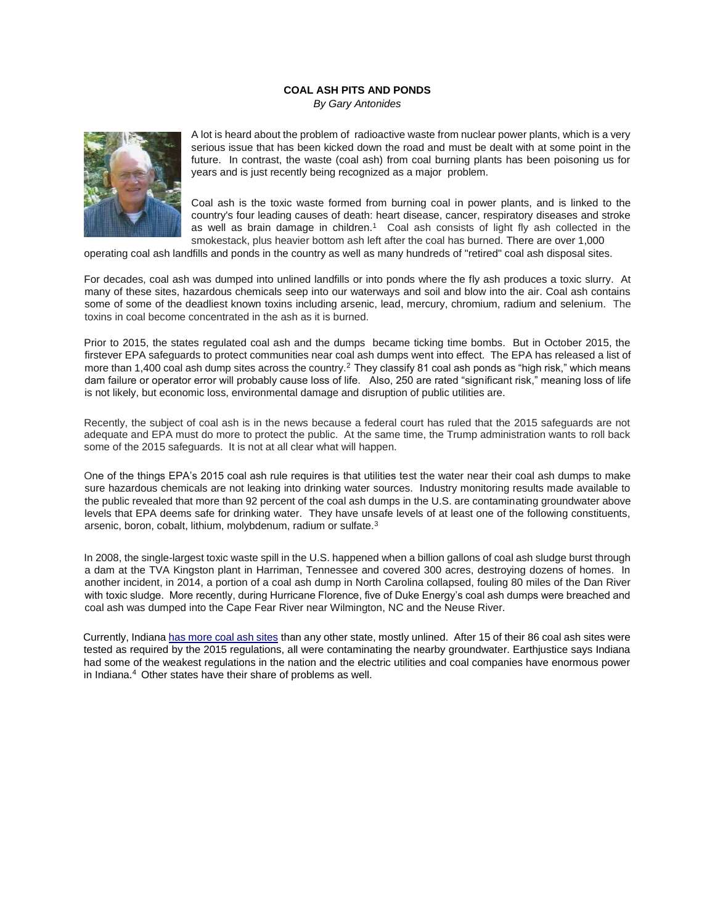## **COAL ASH PITS AND PONDS**

*By Gary Antonides* 



A lot is heard about the problem of radioactive waste from nuclear power plants, which is a very serious issue that has been kicked down the road and must be dealt with at some point in the future. In contrast, the waste (coal ash) from coal burning plants has been poisoning us for years and is just recently being recognized as a major problem.

Coal ash is the toxic waste formed from burning coal in power plants, and is linked to the country's four leading causes of death: heart disease, cancer, respiratory diseases and stroke as well as brain damage in children.<sup>1</sup> Coal ash consists of light fly ash collected in the smokestack, plus heavier bottom ash left after the coal has burned. There are over 1,000

operating coal ash landfills and ponds in the country as well as many hundreds of "retired" coal ash disposal sites.

For decades, coal ash was dumped into unlined landfills or into ponds where the fly ash produces a toxic slurry. At many of these sites, hazardous chemicals seep into our waterways and soil and blow into the air. Coal ash contains some of some of the deadliest known toxins including arsenic, lead, mercury, chromium, radium and selenium. The toxins in coal become concentrated in the ash as it is burned.

Prior to 2015, the states regulated coal ash and the dumps became ticking time bombs. But in October 2015, the firstever EPA safeguards to protect communities near coal ash dumps went into effect. The EPA has released a list of more than 1,400 coal ash dump sites across the country.<sup>2</sup> They classify 81 coal ash ponds as "high risk," which means dam failure or operator error will probably cause loss of life. Also, 250 are rated "significant risk," meaning loss of life is not likely, but economic loss, environmental damage and disruption of public utilities are.

Recently, the subject of coal ash is in the news because a federal court has ruled that the 2015 safeguards are not adequate and EPA must do more to protect the public. At the same time, the Trump administration wants to roll back some of the 2015 safeguards. It is not at all clear what will happen.

One of the things EPA's 2015 coal ash rule requires is that utilities test the water near their coal ash dumps to make sure hazardous chemicals are not leaking into drinking water sources. Industry monitoring results made available to the public revealed that more than 92 percent of the coal ash dumps in the U.S. are contaminating groundwater above levels that EPA deems safe for drinking water. They have unsafe levels of at least one of the following constituents, arsenic, boron, cobalt, lithium, molybdenum, radium or sulfate.<sup>3</sup>

In 2008, the single-largest toxic waste spill in the U.S. happened when a billion gallons of coal ash sludge burst through a dam at the TVA Kingston plant in Harriman, Tennessee and covered 300 acres, destroying dozens of homes. In another incident, in 2014, a portion of a coal ash dump in North Carolina collapsed, fouling 80 miles of the Dan River with toxic sludge. More recently, during Hurricane Florence, five of Duke Energy's coal ash dumps were breached and coal ash was dumped into the Cape Fear River near Wilmington, NC and the Neuse River.

Currently, India[na has more coal ash sites](https://content.sierraclub.org/creative-archive/sites/content.sierraclub.org.creative-archive/files/pdfs/0712%20CoalAshMiniReport_MegaReport_02_web_1.pdf) [t](https://content.sierraclub.org/creative-archive/sites/content.sierraclub.org.creative-archive/files/pdfs/0712%20CoalAshMiniReport_MegaReport_02_web_1.pdf)han any other state, mostly unlined. After 15 of their 86 coal ash sites were tested as required by the 2015 regulations, all were contaminating the nearby groundwater. Earthjustice says Indiana had some of the weakest regulations in the nation and the electric utilities and coal companies have enormous power in Indiana.4 Other states have their share of problems as well.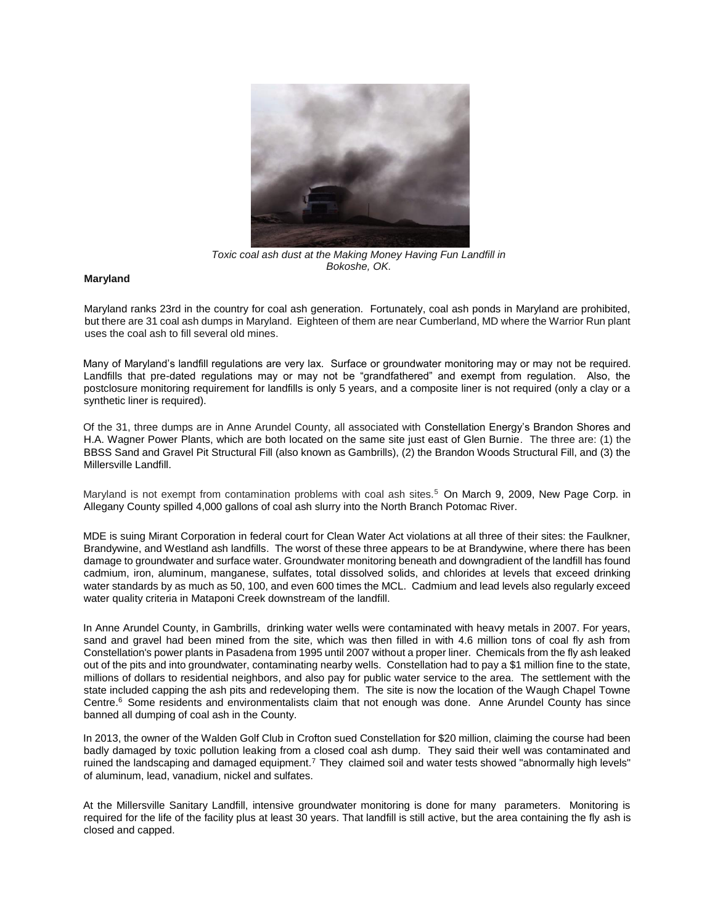

*Toxic coal ash dust at the Making Money Having Fun Landfill in Bokoshe, OK.*

## **Maryland**

Maryland ranks 23rd in the country for coal ash generation. Fortunately, coal ash ponds in Maryland are prohibited, but there are 31 coal ash dumps in Maryland. Eighteen of them are near Cumberland, MD where the Warrior Run plant uses the coal ash to fill several old mines.

Many of Maryland's landfill regulations are very lax. Surface or groundwater monitoring may or may not be required. Landfills that pre-dated regulations may or may not be "grandfathered" and exempt from regulation. Also, the postclosure monitoring requirement for landfills is only 5 years, and a composite liner is not required (only a clay or a synthetic liner is required).

Of the 31, three dumps are in Anne Arundel County, all associated with Constellation Energy's Brandon Shores and H.A. Wagner Power Plants, which are both located on the same site just east of Glen Burnie. The three are: (1) the BBSS Sand and Gravel Pit Structural Fill (also known as Gambrills), (2) the Brandon Woods Structural Fill, and (3) the Millersville Landfill.

Maryland is not exempt from contamination problems with coal ash sites.<sup>5</sup> On March 9, 2009, New Page Corp. in Allegany County spilled 4,000 gallons of coal ash slurry into the North Branch Potomac River.

MDE is suing Mirant Corporation in federal court for Clean Water Act violations at all three of their sites: the Faulkner, Brandywine, and Westland ash landfills. The worst of these three appears to be at Brandywine, where there has been damage to groundwater and surface water. Groundwater monitoring beneath and downgradient of the landfill has found cadmium, iron, aluminum, manganese, sulfates, total dissolved solids, and chlorides at levels that exceed drinking water standards by as much as 50, 100, and even 600 times the MCL. Cadmium and lead levels also regularly exceed water quality criteria in Mataponi Creek downstream of the landfill.

In Anne Arundel County, in Gambrills, drinking water wells were contaminated with heavy metals in 2007. For years, sand and gravel had been mined from the site, which was then filled in with 4.6 million tons of coal fly ash from Constellation's power plants in Pasadena from 1995 until 2007 without a proper liner. Chemicals from the fly ash leaked out of the pits and into groundwater, contaminating nearby wells. Constellation had to pay a \$1 million fine to the state, millions of dollars to residential neighbors, and also pay for public water service to the area. The settlement with the state included capping the ash pits and redeveloping them. The site is now the location of the Waugh Chapel Towne Centre.<sup>6</sup> Some residents and environmentalists claim that not enough was done. Anne Arundel County has since banned all dumping of coal ash in the County.

In 2013, the owner of the Walden Golf Club in Crofton sued Constellation for \$20 million, claiming the course had been badly damaged by toxic pollution leaking from a closed coal ash dump. They said their well was contaminated and ruined the landscaping and damaged equipment.<sup>7</sup>They claimed soil and water tests showed "abnormally high levels" of aluminum, lead, vanadium, nickel and sulfates.

At the Millersville Sanitary Landfill, intensive groundwater monitoring is done for many parameters. Monitoring is required for the life of the facility plus at least 30 years. That landfill is still active, but the area containing the fly ash is closed and capped.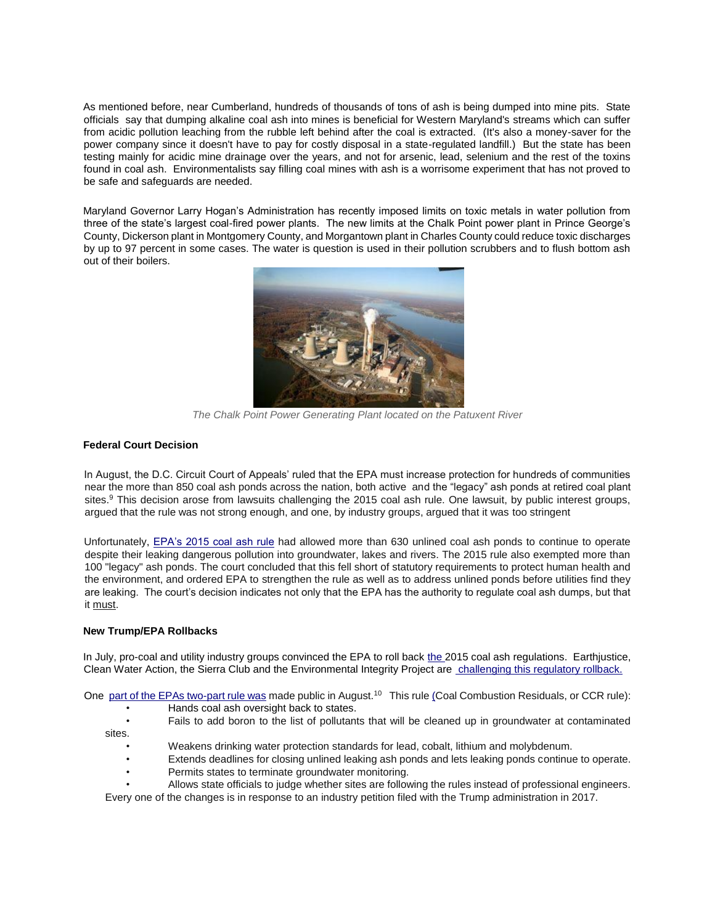As mentioned before, near Cumberland, hundreds of thousands of tons of ash is being dumped into mine pits. State officials say that dumping alkaline coal ash into mines is beneficial for Western Maryland's streams which can suffer from acidic pollution leaching from the rubble left behind after the coal is extracted. (It's also a money-saver for the power company since it doesn't have to pay for costly disposal in a state-regulated landfill.) But the state has been testing mainly for acidic mine drainage over the years, and not for arsenic, lead, selenium and the rest of the toxins found in coal ash. Environmentalists say filling coal mines with ash is a worrisome experiment that has not proved to be safe and safeguards are needed.

Maryland Governor Larry Hogan's Administration has recently imposed limits on toxic metals in water pollution from three of the state's largest coal-fired power plants. The new limits at the Chalk Point power plant in Prince George's County, Dickerson plant in Montgomery County, and Morgantown plant in Charles County could reduce toxic discharges by up to 97 percent in some cases. The water is question is used in their pollution scrubbers and to flush bottom ash out of their boilers.



*The Chalk Point Power Generating Plant located on the Patuxent River* 

## **Federal Court Decision**

In August, the D.C. Circuit Court of Appeals' ruled that the EPA must increase protection for hundreds of communities near the more than 850 coal ash ponds across the nation, both active and the "legacy" ash ponds at retired coal plant sites.<sup>9</sup> This decision arose from lawsuits challenging the 2015 coal ash rule. One lawsuit, by public interest groups, argued that the rule was not strong enough, and one, by industry groups, argued that it was too stringent

Unfortunately, [EPA's 2015 coal ash rule](https://www.federalregister.gov/documents/2015/04/17/2015-00257/hazardous-and-solid-waste-management-system-disposal-of-coal-combustion-residuals-from-electric) [h](https://www.federalregister.gov/documents/2015/04/17/2015-00257/hazardous-and-solid-waste-management-system-disposal-of-coal-combustion-residuals-from-electric)ad allowed more than 630 unlined coal ash ponds to continue to operate despite their leaking dangerous pollution into groundwater, lakes and rivers. The 2015 rule also exempted more than 100 "legacy" ash ponds. The court concluded that this fell short of statutory requirements to protect human health and the environment, and ordered EPA to strengthen the rule as well as to address unlined ponds before utilities find they are leaking. The court's decision indicates not only that the EPA has the authority to regulate coal ash dumps, but that it must.

## **New Trump/EPA Rollbacks**

In July, pro-coal and utility industry groups convinced the EPA to roll back [the 20](https://earthjustice.org/news/press/2018/trump-administration-s-new-rule-weakens-toxic-coal-ash-pollution-safeguards)15 coal ash regulations. Earthjustice, Clean Water Action, the Sierra Club and the Environmental Integrity Project are [challenging this regulatory rollback.](https://earthjustice.org/news/press/2018/trump-administration-s-new-rule-weakens-toxic-coal-ash-pollution-safeguards)

On[e part](https://www.epa.gov/coalash/coal-ash-rule#summary) [of the EPAs](https://www.epa.gov/coalash/coal-ash-rule#summary) [two-part rule](https://www.epa.gov/coalash/coal-ash-rule#summary) [w](https://www.epa.gov/coalash/coal-ash-rule#summary)as made public in August.<sup>10</sup> This rule (Coal Combustion Residuals, or CCR rule):

- Hands coal ash oversight back to states.
- Fails to add boron to the list of pollutants that will be cleaned up in groundwater at contaminated
- sites.
	- Weakens drinking water protection standards for lead, cobalt, lithium and molybdenum.
	- Extends deadlines for closing unlined leaking ash ponds and lets leaking ponds continue to operate.
	- Permits states to terminate groundwater monitoring.
	- Allows state officials to judge whether sites are following the rules instead of professional engineers.

Every one of the changes is in response to an industry petition filed with the Trump administration in 2017.